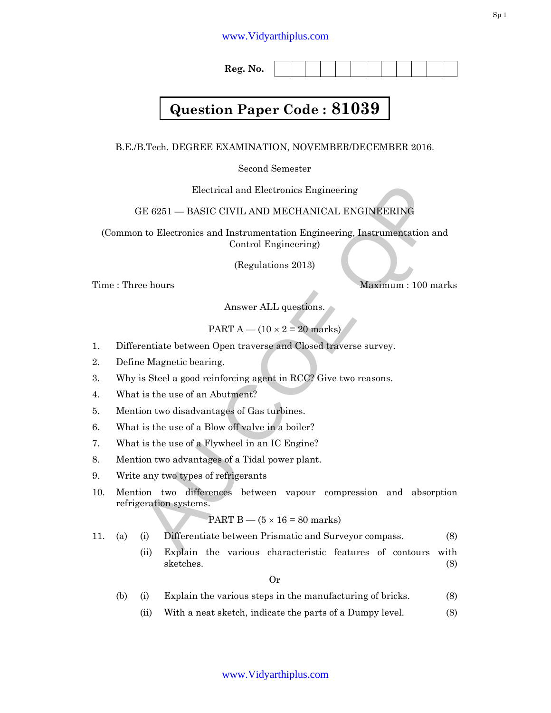**Reg. No.** 

## **Question Paper Code : 81039**

B.E./B.Tech. DEGREE EXAMINATION, NOVEMBER/DECEMBER 2016.

Second Semester

Electrical and Electronics Engineering

## GE 6251 — BASIC CIVIL AND MECHANICAL ENGINEERING

(Common to Electronics and Instrumentation Engineering, Instrumentation and Control Engineering)

(Regulations 2013)

Time : Three hours and the matter of the Maximum : 100 marks

Answer ALL questions.

PART A — 
$$
(10 \times 2 = 20
$$
 marks)

- 1. Differentiate between Open traverse and Closed traverse survey.
- 2. Define Magnetic bearing.
- 3. Why is Steel a good reinforcing agent in RCC? Give two reasons.
- 4. What is the use of an Abutment?
- 5. Mention two disadvantages of Gas turbines.
- 6. What is the use of a Blow off valve in a boiler?
- 7. What is the use of a Flywheel in an IC Engine?
- 8. Mention two advantages of a Tidal power plant.
- 9. Write any two types of refrigerants
- Electrical and Electronics Engineering<br>
TE 6251 -- BASIC CIVIL AND MECHANICAL ENGINEERING<br>
In to Electronics and Instrumentation Engineering, Instrumentation and<br>
Control Engineering)<br>
(Regulations 2013)<br>
Reason is a mass 10. Mention two differences between vapour compression and absorption refrigeration systems.

PART  $B - (5 \times 16 = 80$  marks)

11. (a) (i) Differentiate between Prismatic and Surveyor compass. (8)

 (ii) Explain the various characteristic features of contours with sketches. (8)

Or

(b) (i) Explain the various steps in the manufacturing of bricks. (8)

(ii) With a neat sketch, indicate the parts of a Dumpy level. (8)